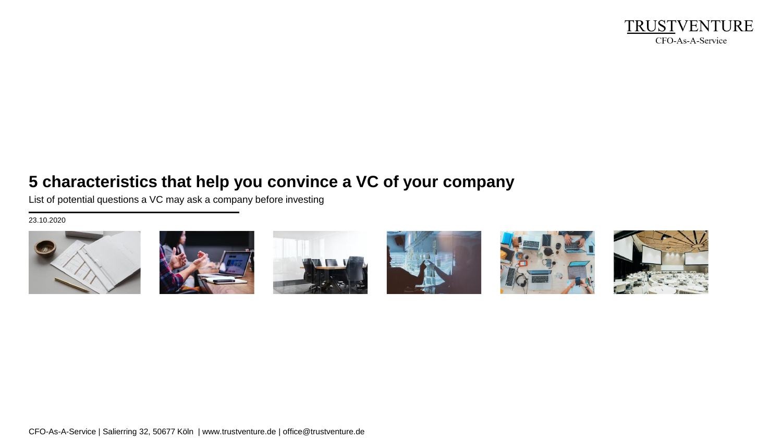

# **5 characteristics that help you convince a VC of your company**

List of potential questions a VC may ask a company before investing

23.10.2020













CFO-As-A-Service | Salierring 32, 50677 Köln | www.trustventure.de | office@trustventure.de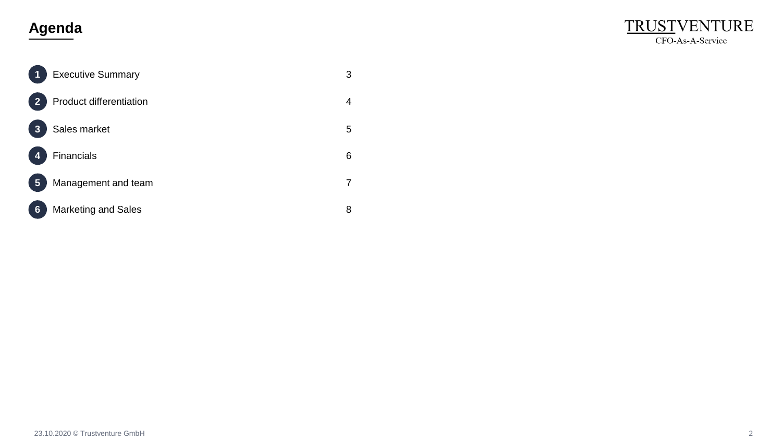# **Agenda**



| 1                       | <b>Executive Summary</b>       | 3 |
|-------------------------|--------------------------------|---|
| $\overline{2}$          | <b>Product differentiation</b> | 4 |
| $\overline{\mathbf{3}}$ | Sales market                   | 5 |
| 4                       | <b>Financials</b>              | 6 |
| 5                       | Management and team            | 7 |
| 6                       | <b>Marketing and Sales</b>     | 8 |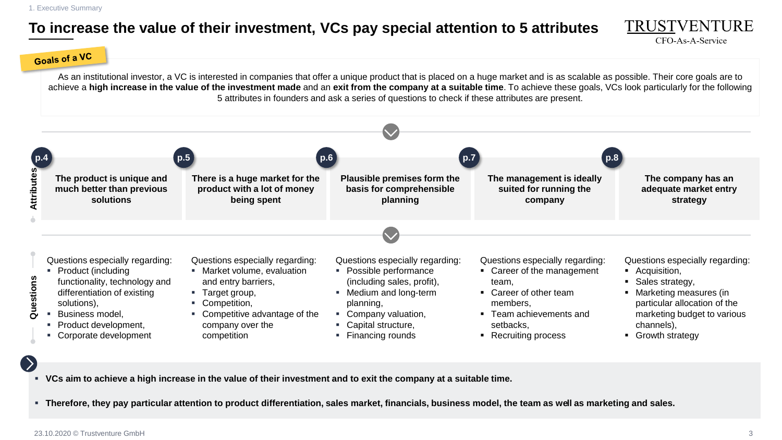1. Executive Summary

# **To increase the value of their investment, VCs pay special attention to 5 attributes**



#### Goals of a VC

As an institutional investor, a VC is interested in companies that offer a unique product that is placed on a huge market and is as scalable as possible. Their core goals are to achieve a **high increase in the value of the investment made** and an **exit from the company at a suitable time**. To achieve these goals, VCs look particularly for the following 5 attributes in founders and ask a series of questions to check if these attributes are present.



▪ **VCs aim to achieve a high increase in the value of their investment and to exit the company at a suitable time.**

▪ **Therefore, they pay particular attention to product differentiation, sales market, financials, business model, the team as well as marketing and sales.**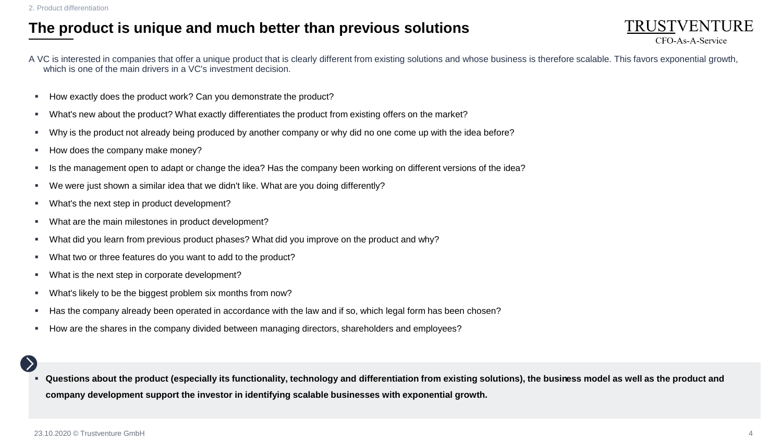2. Product differentiation

#### **The product is unique and much better than previous solutions**



- How exactly does the product work? Can you demonstrate the product?
- What's new about the product? What exactly differentiates the product from existing offers on the market?
- Why is the product not already being produced by another company or why did no one come up with the idea before?
- How does the company make money?
- Is the management open to adapt or change the idea? Has the company been working on different versions of the idea?
- We were just shown a similar idea that we didn't like. What are you doing differently?
- What's the next step in product development?
- What are the main milestones in product development?
- What did you learn from previous product phases? What did you improve on the product and why?
- What two or three features do you want to add to the product?
- What is the next step in corporate development?
- What's likely to be the biggest problem six months from now?
- Has the company already been operated in accordance with the law and if so, which legal form has been chosen?
- How are the shares in the company divided between managing directors, shareholders and employees?

▪ **Questions about the product (especially its functionality, technology and differentiation from existing solutions), the business model as well as the product and company development support the investor in identifying scalable businesses with exponential growth.**

TRUSTVENTURE CFO-As-A-Service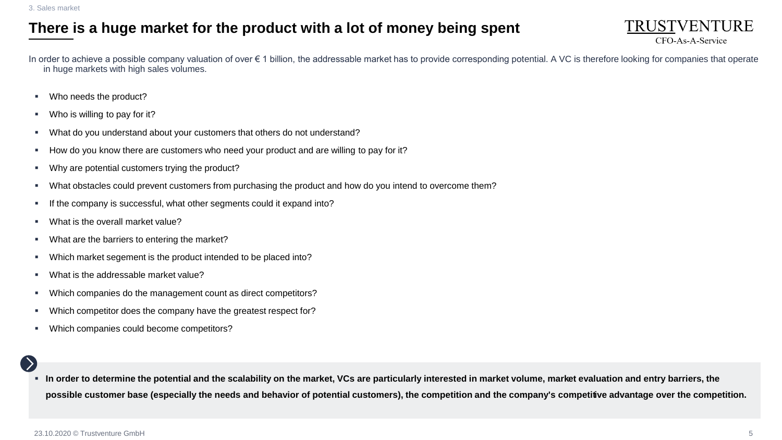## **There is a huge market for the product with a lot of money being spent**



In order to achieve a possible company valuation of over € 1 billion, the addressable market has to provide corresponding potential. A VC is therefore looking for companies that operate in huge markets with high sales volumes.

- Who needs the product?
- Who is willing to pay for it?
- What do you understand about your customers that others do not understand?
- How do you know there are customers who need your product and are willing to pay for it?
- Why are potential customers trying the product?
- What obstacles could prevent customers from purchasing the product and how do you intend to overcome them?
- If the company is successful, what other segments could it expand into?
- What is the overall market value?
- What are the barriers to entering the market?
- Which market segement is the product intended to be placed into?
- What is the addressable market value?
- Which companies do the management count as direct competitors?
- Which competitor does the company have the greatest respect for?
- Which companies could become competitors?

▪ **In order to determine the potential and the scalability on the market, VCs are particularly interested in market volume, market evaluation and entry barriers, the possible customer base (especially the needs and behavior of potential customers), the competition and the company's competitive advantage over the competition.**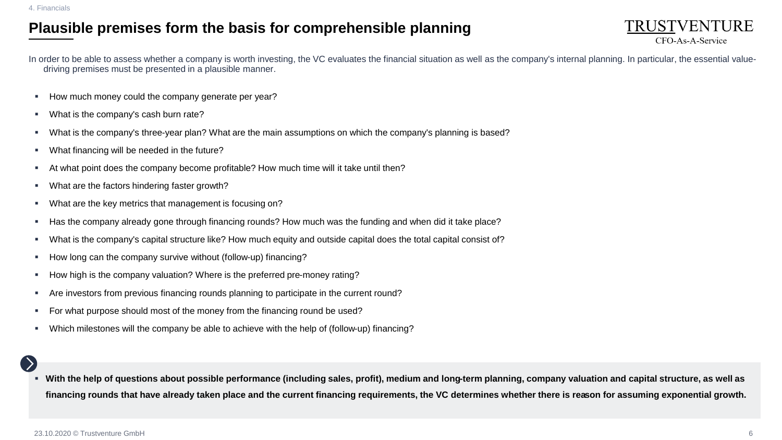## **Plausible premises form the basis for comprehensible planning**



In order to be able to assess whether a company is worth investing, the VC evaluates the financial situation as well as the company's internal planning. In particular, the essential valuedriving premises must be presented in a plausible manner.

- How much money could the company generate per year?
- What is the company's cash burn rate?
- What is the company's three-year plan? What are the main assumptions on which the company's planning is based?
- What financing will be needed in the future?
- At what point does the company become profitable? How much time will it take until then?
- What are the factors hindering faster growth?
- What are the key metrics that management is focusing on?
- Has the company already gone through financing rounds? How much was the funding and when did it take place?
- What is the company's capital structure like? How much equity and outside capital does the total capital consist of?
- How long can the company survive without (follow-up) financing?
- How high is the company valuation? Where is the preferred pre-money rating?
- Are investors from previous financing rounds planning to participate in the current round?
- For what purpose should most of the money from the financing round be used?
- Which milestones will the company be able to achieve with the help of (follow-up) financing?

With the help of questions about possible performance (including sales, profit), medium and long-term planning, company valuation and capital structure, as well as **financing rounds that have already taken place and the current financing requirements, the VC determines whether there is reason for assuming exponential growth.**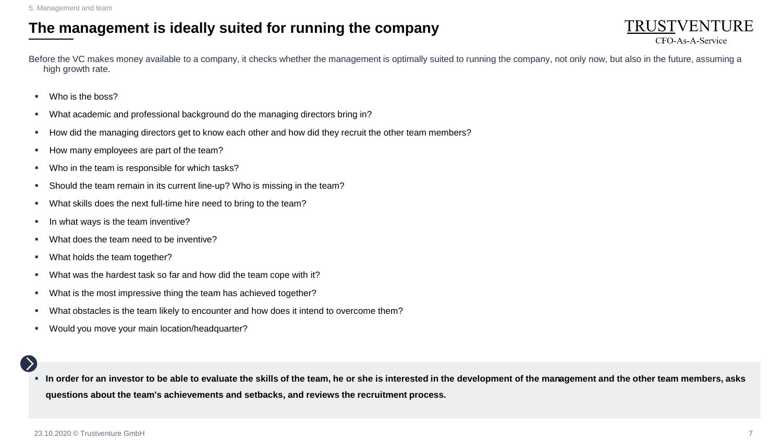### **The management is ideally suited for running the company**

Before the VC makes money available to a company, it checks whether the management is optimally suited to running the company, not only now, but also in the future, assuming a high growth rate.

- Who is the boss?
- What academic and professional background do the managing directors bring in?
- How did the managing directors get to know each other and how did they recruit the other team members?
- How many employees are part of the team?
- Who in the team is responsible for which tasks?
- Should the team remain in its current line-up? Who is missing in the team?
- What skills does the next full-time hire need to bring to the team?
- In what ways is the team inventive?
- What does the team need to be inventive?
- What holds the team together?
- What was the hardest task so far and how did the team cope with it?
- What is the most impressive thing the team has achieved together?
- What obstacles is the team likely to encounter and how does it intend to overcome them?
- Would you move your main location/headquarter?

▪ **In order for an investor to be able to evaluate the skills of the team, he or she is interested in the development of the management and the other team members, asks questions about the team's achievements and setbacks, and reviews the recruitment process.**

TRUSTVENTURE CFO-As-A-Service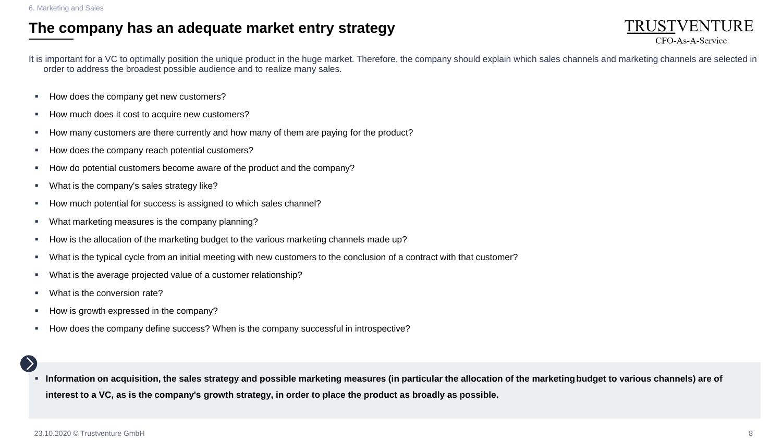#### **The company has an adequate market entry strategy**

TRUSTVENTURE CFO-As-A-Service

It is important for a VC to optimally position the unique product in the huge market. Therefore, the company should explain which sales channels and marketing channels are selected in order to address the broadest possible audience and to realize many sales.

- How does the company get new customers?
- How much does it cost to acquire new customers?
- How many customers are there currently and how many of them are paying for the product?
- How does the company reach potential customers?
- How do potential customers become aware of the product and the company?
- What is the company's sales strategy like?
- How much potential for success is assigned to which sales channel?
- What marketing measures is the company planning?
- **EXEDENT How is the allocation of the marketing budget to the various marketing channels made up?**
- What is the typical cycle from an initial meeting with new customers to the conclusion of a contract with that customer?
- What is the average projected value of a customer relationship?
- What is the conversion rate?
- How is growth expressed in the company?
- How does the company define success? When is the company successful in introspective?

Information on acquisition, the sales strategy and possible marketing measures (in particular the allocation of the marketing budget to various channels) are of **interest to a VC, as is the company's growth strategy, in order to place the product as broadly as possible.**